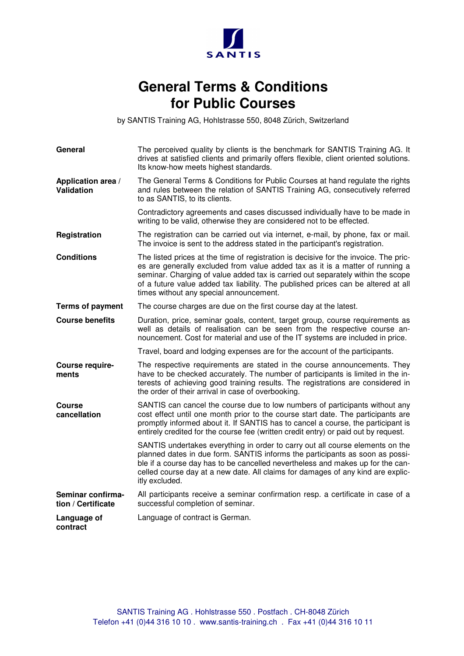

## **General Terms & Conditions for Public Courses**

by SANTIS Training AG, Hohlstrasse 550, 8048 Zürich, Switzerland

| General                                 | The perceived quality by clients is the benchmark for SANTIS Training AG. It<br>drives at satisfied clients and primarily offers flexible, client oriented solutions.<br>Its know-how meets highest standards.                                                                                                                                                                           |
|-----------------------------------------|------------------------------------------------------------------------------------------------------------------------------------------------------------------------------------------------------------------------------------------------------------------------------------------------------------------------------------------------------------------------------------------|
| Application area /<br><b>Validation</b> | The General Terms & Conditions for Public Courses at hand regulate the rights<br>and rules between the relation of SANTIS Training AG, consecutively referred<br>to as SANTIS, to its clients.                                                                                                                                                                                           |
|                                         | Contradictory agreements and cases discussed individually have to be made in<br>writing to be valid, otherwise they are considered not to be effected.                                                                                                                                                                                                                                   |
| Registration                            | The registration can be carried out via internet, e-mail, by phone, fax or mail.<br>The invoice is sent to the address stated in the participant's registration.                                                                                                                                                                                                                         |
| <b>Conditions</b>                       | The listed prices at the time of registration is decisive for the invoice. The pric-<br>es are generally excluded from value added tax as it is a matter of running a<br>seminar. Charging of value added tax is carried out separately within the scope<br>of a future value added tax liability. The published prices can be altered at all<br>times without any special announcement. |
| <b>Terms of payment</b>                 | The course charges are due on the first course day at the latest.                                                                                                                                                                                                                                                                                                                        |
| <b>Course benefits</b>                  | Duration, price, seminar goals, content, target group, course requirements as<br>well as details of realisation can be seen from the respective course an-<br>nouncement. Cost for material and use of the IT systems are included in price.                                                                                                                                             |
|                                         | Travel, board and lodging expenses are for the account of the participants.                                                                                                                                                                                                                                                                                                              |
| Course require-<br>ments                | The respective requirements are stated in the course announcements. They<br>have to be checked accurately. The number of participants is limited in the in-<br>terests of achieving good training results. The registrations are considered in<br>the order of their arrival in case of overbooking.                                                                                     |
| Course<br>cancellation                  | SANTIS can cancel the course due to low numbers of participants without any<br>cost effect until one month prior to the course start date. The participants are<br>promptly informed about it. If SANTIS has to cancel a course, the participant is<br>entirely credited for the course fee (written credit entry) or paid out by request.                                               |
|                                         | SANTIS undertakes everything in order to carry out all course elements on the<br>planned dates in due form. SANTIS informs the participants as soon as possi-<br>ble if a course day has to be cancelled nevertheless and makes up for the can-<br>celled course day at a new date. All claims for damages of any kind are explic-<br>itly excluded.                                     |
| Seminar confirma-<br>tion / Certificate | All participants receive a seminar confirmation resp. a certificate in case of a<br>successful completion of seminar.                                                                                                                                                                                                                                                                    |
| Language of<br>contract                 | Language of contract is German.                                                                                                                                                                                                                                                                                                                                                          |